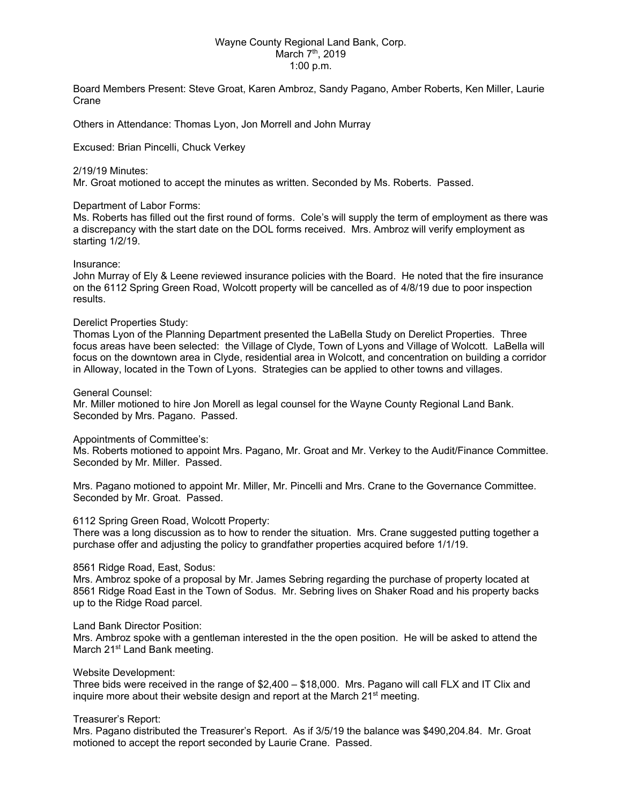## Wayne County Regional Land Bank, Corp. March 7<sup>th</sup>, 2019 1:00 p.m.

Board Members Present: Steve Groat, Karen Ambroz, Sandy Pagano, Amber Roberts, Ken Miller, Laurie Crane

Others in Attendance: Thomas Lyon, Jon Morrell and John Murray

Excused: Brian Pincelli, Chuck Verkey

## 2/19/19 Minutes:

Mr. Groat motioned to accept the minutes as written. Seconded by Ms. Roberts. Passed.

## Department of Labor Forms:

Ms. Roberts has filled out the first round of forms. Cole's will supply the term of employment as there was a discrepancy with the start date on the DOL forms received. Mrs. Ambroz will verify employment as starting 1/2/19.

## Insurance:

John Murray of Ely & Leene reviewed insurance policies with the Board. He noted that the fire insurance on the 6112 Spring Green Road, Wolcott property will be cancelled as of 4/8/19 due to poor inspection results.

## Derelict Properties Study:

Thomas Lyon of the Planning Department presented the LaBella Study on Derelict Properties. Three focus areas have been selected: the Village of Clyde, Town of Lyons and Village of Wolcott. LaBella will focus on the downtown area in Clyde, residential area in Wolcott, and concentration on building a corridor in Alloway, located in the Town of Lyons. Strategies can be applied to other towns and villages.

## General Counsel:

Mr. Miller motioned to hire Jon Morell as legal counsel for the Wayne County Regional Land Bank. Seconded by Mrs. Pagano. Passed.

#### Appointments of Committee's:

Ms. Roberts motioned to appoint Mrs. Pagano, Mr. Groat and Mr. Verkey to the Audit/Finance Committee. Seconded by Mr. Miller. Passed.

Mrs. Pagano motioned to appoint Mr. Miller, Mr. Pincelli and Mrs. Crane to the Governance Committee. Seconded by Mr. Groat. Passed.

# 6112 Spring Green Road, Wolcott Property:

There was a long discussion as to how to render the situation. Mrs. Crane suggested putting together a purchase offer and adjusting the policy to grandfather properties acquired before 1/1/19.

#### 8561 Ridge Road, East, Sodus:

Mrs. Ambroz spoke of a proposal by Mr. James Sebring regarding the purchase of property located at 8561 Ridge Road East in the Town of Sodus. Mr. Sebring lives on Shaker Road and his property backs up to the Ridge Road parcel.

#### Land Bank Director Position:

Mrs. Ambroz spoke with a gentleman interested in the the open position. He will be asked to attend the March 21<sup>st</sup> Land Bank meeting.

#### Website Development:

Three bids were received in the range of \$2,400 – \$18,000. Mrs. Pagano will call FLX and IT Clix and inquire more about their website design and report at the March  $21<sup>st</sup>$  meeting.

# Treasurer's Report:

Mrs. Pagano distributed the Treasurer's Report. As if 3/5/19 the balance was \$490,204.84. Mr. Groat motioned to accept the report seconded by Laurie Crane. Passed.